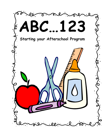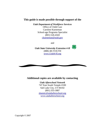### **This guide is made possible through support of the**

*Utah Department of Workforce Services*  Office of Child Care Caroline Kueneman School-age Programs Specialist (801) 526-4343 ckueneman@utah.gov

and



*Utah State University Extension 4-H* (888) 4H-YOUTH [www.Utah4-H.org](www.Utah4-h.org)

### **Additional copies are available by contacting**

 $\overline{a}$ 

*Utah Afterschool Network*  747 East South Temple #100 Salt Lake City, UT 84102 (801) 355-3087 shannic@utahafterschool.org <www.utahafterschool.org>

Copyright © 2007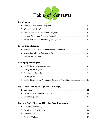

### **Introduction**

### **Research and Planning**

### **Developing the Program**

| 5. Establishing Policies, Procedures, Rules, and Parent/Staff Handbooks 10 |  |
|----------------------------------------------------------------------------|--|

### **Legal Issues (Getting through the White Tape)**

### **Program Staff (Hiring and Keeping Good Employees)**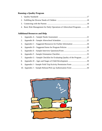## **Running a Quality Program**

| 4. Basic Risk Management for Daily Operations of Afterschool Programs 19 |
|--------------------------------------------------------------------------|

## **Additional Resources and Help**

| 3. |                                                                        |  |
|----|------------------------------------------------------------------------|--|
|    |                                                                        |  |
|    |                                                                        |  |
| 6. |                                                                        |  |
| 7. | Appendix G – Sample Checklist for Evaluating Quality of the Program 37 |  |
| 8. |                                                                        |  |
| 9. |                                                                        |  |
|    |                                                                        |  |

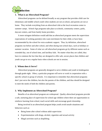

### **1. What is an Afterschool Program?**

 Afterschool programs can be defined broadly as any program that provides child care for elementary and middle school youth when students are not at school, and parents are not at home. They include everything from an afterschool club at the local recreation center to summer camps. School-Age programs take place at schools, community centers, parks, daycare centers, and from family home providers.

 A more stringent definition would add that an afterschool program meets the supervision expectations of working parent(s) who want enrichment for their child, or have been recommended by the school for extra academic support. Thus, by definition, afterschool programs run before and after school, and often during non-school days, such as holidays or summer vacation. Some of what we call afterschool programs go by different names such as extended day, out of school time, and latchkey kids. No matter what they are called, they have in common the fact that they are designed to offer safe, secure places that children and youth can go to on a regular basis when schools are not in session.

### **2. Whom does it Serve?**

 Afterschool programs are generally designed to serve children and youth in kindergarten through grade eight. Often, a particular program will serve or work in cooperation with a specific school or group of schools. It is important to remember that afterschool programs don't just serve the children, but also the parents of the children, and thus should be designed to meet the needs of both the children and parents.

### **3. Why Implement an Afterschool Program?**

 Benefits of an afterschool program are widespread. Quality afterschool programs provide a safe, nurturing place of supervision for school age children where there are opportunities to reinforce learning from school, teach social skills and encourage good citizenship.

 Being involved in an afterschool program helps youth avoid unsafe situations and behaviors such as:

- Being home after school without adult supervision
- Experimentation with drugs, alcohol, cigarettes and sexual activity
- Illegal activities such as shoplifting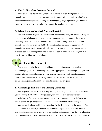### **4. How do Afterschool Programs Operate?**

 There are many different arrangements for operating an afterschool program. For example, programs can operate as for-profit entities, non-profit organizations, school-based, or government-based provider. During the planning stage of your program, you'll need to carefully choose what will work best for you and the families you serve.

### **5. Where does an Afterschool Program Operate?**

 While afterschool programs can operate from a variety of places, and during a variety of hours or days, it is important to remember that programs should try to meet the needs of working parents. Are the hours and location convenient for the parents, as well as the students? Location is often dictated by the operational arrangement of a program. For example, a school-based program will be located at a school, a government-based program might be located at municipal building or recreation center, and a for-profit program may have its own building, or in one's home.

# **Research and Development**

 One person can take the lead, but it will take collaboration to develop a quality afterschool program. You'll benefit greatly from tapping into the knowledge and experience of other interested individuals and groups. Start by organizing a task force to conduct a needs assessment survey. If the survey determines that there is demand for additional child care, a planning committee can be organized to develop the program.

### **1. Assembling a Task Force and Planning Committee**

 The purpose of the task force is to help develop an initial plan of action, and then assist you in carrying it out. When seeking support, remember to consider both concerned individuals as well as larger organizations. You will want supportive individuals that are able to go out and get things done. Seek out individuals who will have a variety of perspectives on this issue and become champions for the development of the program. You will also want experienced, resourceful organizations. Organizations can often provide everything from initial know-how to eventual funding and supplies, or maybe even a location to house the program. The idea is to create an initial task force, consisting of about three to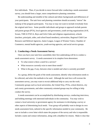five individuals. Then, if you decide to move forward after conducting a needs assessment survey, you should form a larger, more comprehensive planning committee.

 Be understanding and mindful of the cultural and ethnic backgrounds and differences of your participants. The task force and planning committee should accurately "mirror" the makeup of the program participants. You may or may not want to include everybody from the original task force. Some possible individuals and groups to approach include parents and parent groups (PTA), local agencies and government, youth serving organizations (4-H, Scouts, YMCA/YWCA, Boys and Girls Clubs and religious organizations), schools (teachers, principals, aides, and school board members), universities, Regional Child Care Resource and Referral Agencies, Junior League, League of Women Voters, Chamber of Commerce, mental health agencies, youth-serving agencies, and social service groups.

### **2. Conducting a Needs Assessment Survey**

 Once you have your task force assembled, their first undertaking will be to conduct a needs assessment survey. A needs assessment in its simplest form determines:

- To what extent is there a need for a service?
- What resources currently exist to meet those needs?
- What is the gap, if any, between what is needed and what is currently provided?

 As a group, define the goals of the needs assessment, identify what information needs to be collected, and select the methods to be used. Although the task force will oversee the assessment survey, you may want to recruit additional help to carry out the work. Community groups such as local universities, the United Way, PTAs, school districts, city and county governments, and other community oriented groups may be willing to help conduct the survey.

A needs assessment can be accomplished by distributing surveys, conducting interviews, and holding meetings with interested individuals in the community. You may wish to contact a local university or government agency for assistance in developing a survey or other aspects of determining local needs. Your group will probably want to design its own needs assessment form, tailored to the specific information needed in your community. Be sure to include a cover letter which states the purpose of the survey and who is responsible. Include a name and contact information, along with a deadline for returns. Make it clear that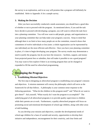the survey is an exploration, and in no way will promise that a program will definitely be established. Refer to Appendix A for a sample survey.

### **3. Making the Decision**

 After you have successfully conducted a needs assessment, you should have a good idea of whether or not to proceed with the program. As mentioned above, if you and the task force decide to proceed with developing a program, you will want to reform the task force into a planning committee. You will now want to add people, groups, and organizations to your planning committee that can help make your program a success. Keep in mind that although there is no limit to how many people are on the committee, research shows that committees of twelve individuals or less (note: a whole organization can be represented by one individual) are the most efficient and effective. Once you have your planning committee in place, it's time to begin developing your program. The survey results may demonstrate a need to justify the program, but do you have the resources – facilities, support, and money from projected parent fees or subsidies, that will make it possible to run a good program? You may want to first explore if there is an existing program that can be changed or expanded to fill the need for afterschool programming.

### **Developing the Program**

### **1. Establishing Mission/Objectives**

 The first step in designing an afterschool program is establishing your program's mission and objectives. A mission statement will convey the philosophy which will serve as the framework for all that follows. A philosophy is your common sense response to the following questions: "What do the children in this program need?" and "What do we want to give them?" Ask yourself, "What exactly do I want the program to accomplish?" The underlying goal of all afterschool programs is to provide quality supervision to children while their parents are at work. Furthermore, a quality afterschool program will focus on promoting social and emotional development of school-age children, along with other areas of skill building.

 As you develop your mission and objectives, consider the developmental needs of school-age children for a base of warmth and security, opportunities to develop their initiative and independence, encouragement for their creativity, and clear limits and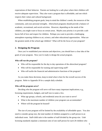expectations of their behavior. Parents are looking for a safe place where their children will receive adequate supervision. They also want a program that is affordable, and one which respects their values and cultural background.

 When establishing program goals, keep in mind the children's needs, the resources of the community, and your personal strengths. Afterschool programs should provide a balance of academic, recreational, and social activities. However, depending on the needs of the children, you might want to focus on certain areas. Maybe your priority is to provide a safe haven full of love and respect for children. Perhaps you want to provide a challenging atmosphere exposing children to art, science, and other educational opportunities. What are the greatest needs of the school-age children? What will be the focus of your program?

### **2. Designing the Program**

Once you've established your mission and objectives, you should have a clear idea of the goals of your program. Now you're ready to design the actual program.

### *Who will run the program?*

- Who will be responsible for the day to day operations of the afterschool program?
- Who will be responsible for training and supervising staff?
- Who will tackle the financial and administrative functions of the program?

 As you make these decisions, keep in mind what is best for the overall success of the program. Refer to Appendix B for a sample daily schedule.

#### *Who will the program serve?*

 Deciding who the program will serve will have many important implications; e.g., licensing requirements, budgets, and staff size to name a few.

- What age groups, schools, and residential areas do you want to serve?
- What is the maximum number of children your program can accommodate?
- Where will the program be housed?

 The size of your program will be limited by the availability of affordable space. You also need to consider group size, the total number of children assigned to a staff person in an individual room. Staff-child ratio is the number of staff divided by the group size. Utah licensing standards stipulate a minimum ratio of one staff person for each 20 children who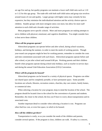are age five and up, but quality programs can maintain a lower staff child ratio such as 1:10 or 1:12 for this age group. The trade-offs with both staff-child ratios and group size revolves around issues of cost and quality. Larger groups with higher ratios may certainly be less expensive, but they minimize the individualized attention and the activity choices open to children. Smaller groups with more stringent ratios cost more, but allow for more staff attention to each child and a broader range of activities.

Most programs serve specific schools. More and more programs are making attempts to serve children with physical, emotional, and cognitive disabilities. You might consider how to best serve these children.

### *When will the program operate?*

 Afterschool programs can operate before and after school, during school vacations, holidays, and during the summer, in order to meet the needs of working parents. Though year-round care programs might be best for working parents, remember to consider the costs and time commitment associated with such hours. Afterschool programs operate before and after school, or just after school until around 6:00 pm. Working parents and their children benefit when programs operate during school-only holidays, such as teacher in-service days and during the annual Utah Education Association (UEA) Convention.

### *Where will the program be housed?*

Afterschool programs can be housed in a variety of physical spaces. Programs can either use shared space and be completely portable, or have permanent space. Some possible locations are schools, libraries, recreation centers, churches, day care centers, family homes, or commercial sites.

When selecting a location for your program, keep in mind the location of the school. The program should be located close to the school for the convenience of parents and students. Remember, the closer to the school, the less you'll have to worry about transportation and its associated costs.

Another important detail to consider when selecting a location is cost. Programs can often find low cost, or even free space, in which to be housed.

### *How will the children get there?*

Transportation is costly, so as you consider the needs of the children and parents, consider several options. If the program is close, children can walk. If safety is a concern,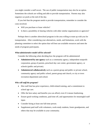you might consider a staff escort. The use of public transportation may also be an option. Sometimes the schools are willing and able to provide transportation. Parents may also organize car pools at the end of the day.

If you feel that the program needs to provide transportation, remember to consider the costs involved.

- Will you purchase or lease vehicles?
- Is there a possibility of sharing vehicles with other similar organizations or agencies?

Perhaps there is another afterschool program in the area willing to team up with you for transportation. After considering your alternatives, needs, and limitations, work with the planning committee to select the option that will best use available resources and meet the needs of program participants.

### *What administrative model will be selected?*

Consider the following when deciding how the program will be administered:

- **Administered by one agency** such as a community agency, independent nonprofit corporation, group of parents, preschool day care center, government agency, or schools (public and private).
- **Administered collaboratively** such as a parent group and public or private school, community agency and public school, parent group and church, or city or town recreation department and school.

#### *Who will staff the program?*

- Hire staff that has prior experience, child-related training, and a commitment to school age care.
- Offer the best salary and benefits you can afford, even if it means fundraising.
- Ensure good working conditions, paid time off, and opportunities for meaningful staff input.
- Consider hiring at least one full-time person.
- Supplement paid staff with volunteers, work-study students, foster grandparents, and others that may be available in your community.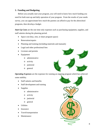### **3. Funding and Budgeting**

 Before you actually start your program, you will need to know how much funding you need for both start-up and daily operation of your program. From the results of your needs survey, you can approximate how much the parents can afford to pay for the afterschool programs, then develop a budget.

*Start-Up Costs* are the one time only expenses such as purchasing equipment, supplies, and staff salaries during the planning period.

- Space cost (buy, rent, or share program space)
- Renovation/repairs
- Planning and training (including materials and manuals)
- Legal and other professional fees
- Licenses and permits
- **Equipment** 
	- o administrative
	- o activity
	- o janitorial
	- o general

*Operating Expenses* are the expenses for running an ongoing program which has achieved some stability.

- Staff salaries and benefits
- Staff development and training
- Supplies
	- o administrative
	- o activity
	- o janitorial
	- o general
- **Utilities**
- **Insurance**
- Travel/transportation
- Maintenance

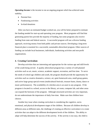*Operating Income* is the income to run an ongoing program which has achieved some stability.

- Parental fees
- Fundraising activities
- In-kind donations

 After you have an estimated budget worked out, you will be better prepared to estimate the funding needed for start-up and operating your program. Most programs will find that generating parent fees provide the majority of funding, but some programs also receive funding from state and federal sources. A successful program will use a diverse funding approach, receiving money from both public and private sources. Developing a long-term financial plan is essential for a successful, sustainable afterschool program. Other sources of funding can include local businesses, individuals, fundraising activities and non-profit organizations.

### **4. Creating Curriculum**

 Develop activities that are interesting and appropriate for the various age and skill-levels of the youth being served. A quality afterschool program has a variety of well-planned activities such as art, music, science, academic support, recreation, and free time. To serve the needs of school-age children and youth, the program should provide the opportunity for activities such as creative dramatics, science, art, quiet homework area, small group games, and active large group special events (multicultural festivals, treasure hunts, drama, dance or music performances). The availability of a kitchen area is an asset to any program. If the program is located in a school, access to the library, art room, computer lab, and other areas can expand the horizons of the program. Although structured activities are very important, do not underestimate the importance of daily free-time. Make sure that children have choices.

 Another key issue when creating curriculum is considering the cognitive, socioemotional, and physical development stages of the children. Because all children develop in different areas at different rates, the challenge of creating an effective curriculum is to create activities that can adapt to the different development levels of the children. The ability to adapt will help determine the success of the activity. If the activity is too easy, the child is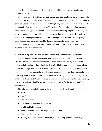left bored and unchallenged. If it is too difficult, the child might lose self-confidence and become frustrated.

With a little bit of thought and ingenuity, many activities can be altered to accommodate children of varied ages and developmental stages. For example, if you are playing a game of basketball, certain rules can be made to level the playing field. One such rule could be that players taller than a certain height cannot block shots of shorter players. When playing a science trivia game, provide students with questions with varying degrees of difficulty, and allow the students to decide which level of questions they want to answer. Be careful with activities that might put students on the spot. Although some students love the spotlight, other students may feel uncomfortable. Provide an escape for children that feel uncomfortable being put on the spot. Refer to Appendix C for a list of books and other resources to help plan curriculum.

### **5. Establishing Policies, Procedures, Rules, and Parent/Staff Handbooks**

Policies and procedures are essential guiding principles for afterschool programs. Effective polices will indicate proper procedures to carry out the policy itself. For this reason, policies and procedures should be determined before a program begins operation to ensure the appropriate courses of action for the many issues and situations that might arise. It is good risk management to have policies and procedures in place. For example, how and when do parents pick-up children? What about late or early pick-ups? What if a parent is unable to pick-up a child? Can a relative or friend of the family pick the child up? Policies, procedures, and rules should exist for the program as well as for the program staff, parents, and children.

The following list includes some of the important areas that will require policies:

- Staff
- Enrollment
- Parental Involvement
- Discipline and Behavior Management
- Health and Safety Issues
- Transportation (to and from program as well as during)
- Financial Management
- Setting the days and hours of operation, food, reporting child abuse and neglect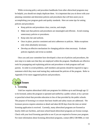While reviewing policy and procedure handbooks from other afterschool programs may be helpful, you should not simply duplicate them. It is important that you sit down with your planning committee and determine policies and procedures that will best assist you in accomplishing your program goals and quality standards. Here are some tips for setting policies and procedures:

- Keep policies and procedures clear, concise, and simple.
- Make sure that policies and procedures are meaningful and efficient. Avoid creating unnecessary policies or procedures.
- Keep rules fair and uniform.
- Once in place, practice consistent and strict adherence to policies. Make exceptions only when absolutely necessary.
- Develop an effective mechanism for changing policies when necessary. Evaluate policies regularly and revise as needed.

 Once you and your committee have developed a clear set of policies and procedures, the next step is to make sure that they are employed within the program. Handbooks are effective tools for propagating and explaining policies and procedures to both program staff and parents. In order to avoid problems, staff members and parents should be required to sign a statement which they must read stating they understand the policies of the program. Refer to Appendix D for more suggested policies and procedures.



 Utah law requires afterschool child care programs for children up to and through age 12 to be licensed, unless the program is operated and staffed by a public school, or by a private or parochial school that provides education in lieu of that provided by the public schools. The purpose of licensing is to ensure that basic health and safety issues are addressed. The licensure process requires attention to detail and takes 60-90 days from the time an initial licensing application is received. Currently, many afterschool programs are licensed as hourly child care facilities, and most school-based afterschool programs are license exempt. Check with your local licensing specialist to see if you are required to license your program. For more information about licensing afterschool programs, contact (801) 538-9084, or visit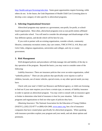[http://health.utah.gov/licensing/rules.htm.](http://health.utah.gov/licensing/rules.htm) Some grant opportunities require licensing, while others do not. In the future, the Utah Department of Health Child Care Licensing plans to develop a new category of rules specific to afterschool programs.

### **2. Selecting Organizational Structure**

 Afterschool programs may operate as a government, non-profit, for-profit, or schoolbased organization. Most often, afterschool programs exist as non-profit entities affiliated with a particular school. You will need to consider the advantages and disadvantages of the four different options, and decide which will be best for you.

 If you wish to partner with an existing organization, consider schools, community libraries, community recreation centers, day care centers, YMCA/YWCA, 4-H, Boys and Girls Clubs, religious organizations, universities and colleges, and city or county government.

### **3. Risk Management**

 Well-designed policies and procedures will help manage risk and liability of the day to day operation of the program. Beyond the basics, you may want to consider some of the following:

*Liability Insurance:* There are insurance policies that cover an entire organization, called "umbrella policies." There are also policies that specifically cover injuries to staff or children, lawsuits, use of motor vehicles, special events, or any other special needs you may have.

 Check with your state's Child Care Resource and Referral agency, or child care licensing to find out if your state requires you to have a certain type, or amount, of liability insurance in order to operate an afterschool program. You may wish to consult with an insurance agent or broker to determine what kind of insurance is best for your situation. Talk to other programs and organizations to find out what types of policies they have.

*Obtaining Insurance:* The National Association for the Education of Young Children (NAEYC), (202) 232-8777 or (800) 424-2460, [www.naeyc.org,](www.naeyc.org) has a list of insurance companies that have created plans specifically for afterschool programs. When speaking with insurance providers explain your program and your needs, and ask about options and premiums.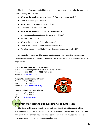The National Network for Child Care recommends considering the following questions when shopping for insurance:

- What are the requirements to be insured? Does my program qualify?
- What is covered by the policy?
- What risks are excluded from the policy?
- How long does the policy last?
- What are the liabilities and medical payment limits?
- How much are the premiums? Are there deductibles?
- How do I file a claim?
- What is the company's financial reputation?
- What is the company's claim and service reputation?
- How knowledgeable and helpful is the insurance agent you speak with?

 Coverage for Volunteers: Make sure your insurance policy specifies that volunteers (those not being paid) are covered. Volunteers need to be covered by liability insurance just as paid staff.

### **Organizations and Contact Information:**

*National Association for the Education of Young Children*  Phone: (202) 232-8777 or (800) 424-2460 Web site: <www.naeyc.org>

*Nonprofit Risk Management Center*  Phone: (202) 785-3891 Fax: (202) 296-0349 Web site: <www.nonprofitrisk.org>

*National School Age Care Alliance*  Phone: (617) 298-5012 Fax: (617) 298-5022 Web site: <www.nsaca.org>



## **Program Staff (Hiring and Keeping Good Employees)**

 The skills, abilities, and attitudes of the staff will directly affect the quality of the afterschool program. Recruit and hire qualified individuals, because your preparations and hard work depend on those you hire. It will be impossible to have a successful, quality program without training and managing quality staff.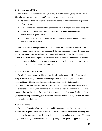### **1. Recruiting and Hiring**

 The first step in recruiting and hiring a quality staff is to analyze your program's needs. The following are some common staff positions in after-school programs:

- *Afterschool director:* responsible for staff supervision and administrative operation of the program.
- *Site coordinator:* responsible to supervise the day to day operations of the programs.
- *Group worker:* supervises children, plans the curriculum, and has certain administrative responsibilities.
- *Staff assistant leader:* works under the group leader in planning and carrying out activities with the children.

 Meet with your planning committee and decide what positions need to be filled. Once you have a basic framework for your future staff, develop a selection process. Decide if you will require applications, cover letters or resumes and who will review the submitted information. Next, choose a person to select applicants to interview and another to conduct the interviews. It is helpful to have more than one person involved in the interview process; you will be less likely to overlook key information.

### **2. Creating Job Descriptions**

 Creating job descriptions will help define the roles and responsibilities of staff members. Keep in mind that rarely is any one individual perfect for a particular job. Thus, it is important to prioritize the qualifications for the positions. Start with the minimum requirements, and then add the preferred qualifications. Through effective training, on-thejob experience, and managing, an individual who initially meets the minimum requirements can exceed the preferred qualifications. It is also important to allow some flexibility. Once your program is up and running, you might find a need to shuffle or change certain positions, duties, and responsibilities.

### *Recruit applicants*

 Be clear and concise when writing the actual job announcement. List the title and the major duties, responsibilities, and qualifications desired. Provide instructions regarding how to apply for the position, starting date, schedule of shifts, pay, and the closing date. The most important role of a job announcement is to notify and persuade qualified applicants to apply.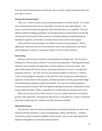Keep the announcement positive and enticing. Once you have a good job announcement, the next step is to post it.

### *Posting Job Announcements*

 There are a variety of places to post job announcements or advertise the job. Try to place your announcements where they are most likely to be seen by your target audience. You want to reach the best potential applicants and avoid those that are not qualified. The most effective method of finding good help is not through posting an announcement, but through referrals and word of mouth. Other resources for finding employees include government employment agencies, universities, vocational schools, flyers and local newspapers.

With well placed announcements, you should soon start receiving inquiries. Review applications with those who have been selected to assist in the hiring process, and decide which applicants to interview, keeping all resumes on file for future reference.

### *Interviewing*

 Effective interviewing is essential in recruiting the best possible staff. The first step in making your interview process effective is pre-interview preparation. Checking professional references and consulting with applicants' previous employers can be very useful. Stay open-minded during the review process, and prepare questions you want to ask applicants during the interview. The same interview team should complete all interviews. Prepare a variety of well thought-out questions for the interview, such as questions to determine the applicant's overall interest in the position, and broad questions to test the general knowledge and understanding regarding working with children. You may also include hypothetical scenario questions to measure skills and aptitude regarding the position, and questions related to goals and future plans. Refer to Appendix E for sample interview questions and a form.

 Make sure you take notes on their answers so you can compare them later with answers given by other applicants. Encourage the interviewees to ask questions as well; it will benefit them and you allowing you to further assess their interests and ability.

### *Make final decision*

 The interview team will make recommendations to the hiring committee and select wellbalanced staff that represents a variety of backgrounds, culture, and ethnicity. Consider a trial period in which a potential candidate would work for a day or more, allowing both the employer and applicant to assess the potential position.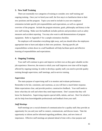### **3. New Staff Training**

 There are essentially two categories of training to consider; new staff training and ongoing training. Once you've hired your staff, the first step is to familiarize them to their new positions and the program. Topics you need to include in your new employee orientation include specific job responsibilities and expectations, as well as a general overview of the program. Include the program missions, goals, philosophy and history in the new staff training. Make sure the handbook includes policies and procedures such as safety measures and accident reporting. You may also want to add demonstrations of program equipment. Refer to Appendix F for a sample orientation checklist.

 No employee will remember everything right away, and you should allow the employees appropriate time to learn and adjust to their new positions. Having specific job responsibilities written down in a staff handbook will help facilitate quick and effective learning of responsibilities and expectations.

### **4. Ongoing Training**

 Your staff will continue to grow and improve on their own as they gain valuable on-thejob experience. However, the extent to which your staff improves over time will be largely affected by ongoing training. In order to develop a quality staff, you need to provide quality training through supervision, staff meetings, and in-service training.

### *Supervision*

 The main purpose of supervising staff is to monitor and evaluate performance. Remember to be fair, consistent, and courteous, as you will have a much better response. Make expectations clear, and provide positive, constructive feedback. Your staff needs to know what they do well and where they need improvement. Don't assume that they will know for themselves. Supervising requires special skills, talents, and tact. Don't be afraid to ask for help from knowledgeable professionals and feedback from your staff.

### *Staff Meetings*

 Staff meetings are a crucial element of communication for a quality staff; they provide an opportunity for you and your staff to connect, communicate, and discuss issues. Take the opportunity to inform and be informed regarding problems, ideas, and new items of importance. Effective staff meetings are planned ahead of time with a clear purpose and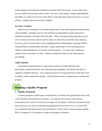written agenda, but should also include the element of free discussion. Always allow time for your staff to discuss ideas and concerns. Be sure to take minutes, assign responsibilities, and follow up, otherwise you'll be more likely to talk about great ideas, but never act on any of them. Adding some food and fun is helpful.

### *In-Service Training*

 Staff in-service training is an excellent opportunity to train staff regarding essential skills and knowledge. Through in-service, the staff has the opportunity to learn and practice important techniques and skills with each other. When selecting training material for an inservice session, be sure to ask the staff for topics on which they would like more training. You may want to include topics such as building positive relationships, resolving conflicts among children, teaching about discipline, caring, respecting as well as sharing among children, while making sure you connect with the parents. You may want to dedicate a whole session to one topic at a time. Always consider the needs of your staff and plan accordingly.

### *Staff Evaluation*

 Evaluations should be based on expectations which are clearly defined in job descriptions, personnel policies, and individual goal statements, and should take place at regularly scheduled intervals. Your evaluation process will help staff learn where they need to improve and to make those changes. Staff should also have an opportunity to evaluate the program.

# **Running a Quality Program**

### **1. Quality Standards**

 A quality program is based upon a well-planned, consistent and organized operation with a safe, friendly and nurturing environment. A caring and well-trained staff, parental involvement and a variety of activities also improves the quality. While this manual provides many resources as a start for achieving strong performance in these areas, it is crucial that you continually rate and evaluate your performance in these areas to ensure program quality. Refer to Appendix G for resources to help with program evaluation.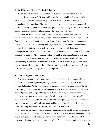### **2. Fulfilling the Diverse Needs of Children**

 All children have a crucial need to be in a safe, secure environment and to have acceptance by peers and staff. No two children are the same. Children develop socially, emotionally, physically, and cognitively at different rates. They also possess unique personalities and dispositions. These facts, combined with the fact that your program will most likely serve children from multiple ages, presents a challenging situation. Make sure to support, encourage and respect the children with whom you work with.

 Focus on the developmental needs of the children. Middle childhood years are a crucial time for youth as they learn generally accepted behavior, and their need for acceptance shifts from family to peers. A quality program will provide a safe and friendly environment, as well as activities to facilitate healthy physical, mental, social, and emotional development.

 In order to meet the challenges of working with children of varied ages and developmental stages, you and your staff need to have an understanding of the different ages and stages of children. Most programs will divide children into groups based on their age, with the older youth taking more responsibility to plan their own activities. As your understanding of common developmental patterns of children increases, you will be more able to meet the diverse needs of the children in your program. Refer to Appendix H for a chart comparing ages and stages of child development.

### **3. Connecting with the Parents**

Given that parents are the primary teachers in the life of a child, connecting with the parents is an important aspect of operating a successful afterschool program. However, it can be very challenging. While you see the child for several hours a day depending on the set-up of your program, you might not see the parent on a daily basis. You will deal with a diverse group of parents, so be prepared to see and understand a variety of parenting techniques.

 If you see the parents on a daily basis, take advantage of this opportunity to build relationships of trust. Always focus on the positive when speaking with parents. Remember, as parents are dropping-off or picking up their children, they are often rushed, stressed, or tired after a long day of work, so be sensitive to their circumstances.

 If you do not have daily personal contact with parents, there are still things you can do to facilitate parental involvement. Plan activities such as cooperative learning workshops, game nights, or a special Saturday activity where families bond with one another and with the program staff. Focus on creating a strong open-line of communication, such as establishing a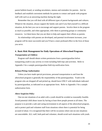parent bulletin board, or sending newsletters, memos and reminders for parents. Ask for feedback and establish convenient methods for parents to contact and speak with program staff with such as an answering machine during the night.

 Remember that you will deal with all different types of parent backgrounds and cultures. Whatever the situation, always support the family unit and if you find yourself in a difficult situation, do the best you can to encourage and support parents. Involve them in the program as much as possible, and when appropriate, refer them to parenting groups or community resources. Let them know that you are there to help and support their efforts as parents.

 As relationships with parents are developed, and parental involvement increases, your program will be more successful and you'll have a more profound effect in the lives of those you serve.

## **4. Basic Risk Management for Daily Operations of Afterschool Programs**

### *Transportation of Children*

 Program staff should obtain written permission from a parent/guardian before transporting youth to any activity or event including field trips and activities. Refer to Appendix I for a sample parent/guardian field trip notification form.

### *Release/Pickup Authorization*

 Unless you have made special provisions, personal transportation to and from the afterschool program is generally the responsibility of the parent/guardian. Youth in the program who are dropped off and picked up, should leave ONLY with individuals indicated by parent/guardian, as indicated on an appropriate form. Refer to Appendix J for a sample authorization form.

### *Above Suspicion Policy*

 One-on-one situations of an adult with a youth should be avoided as reasonably feasible. Avoid potential child abuse issues by having at least three people present at all times. The purpose is to provide a safe and caring environment in all aspects of the afterschool program, and to protect paid and volunteer staff from situations where there is potential for being accused of abuse. It is recognized that there will be occasions where one-on-one situations are unavoidable. ALL staff, both paid and volunteer, should avoid such situations with youth.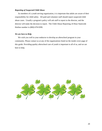### *Reporting of Suspected Child Abuse*

 As members of a youth serving organization, it is important that adults are aware of their responsibility for child safety. All paid and volunteer staff should report suspected child abuse cases. Usually a program's policy will ask staff to report to the director, and the director will make the decision to report. The Child Abuse Reporting 24 Hour Statewide Hotline number is (800) 678-9399.

### *We are here to Help*

We wish you well in your endeavor to develop an afterschool program in your community. Please contact us at any of the organizations listed on the inside cover page of this guide. Providing quality afterschool care of youth is important to all of us, and we are here to help.

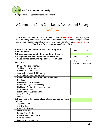

## A Community Child Care Needs Assessment Survey SAMPLE

*This is an assessment of child care needs of the (locality name) community. If you have parenting responsibilities, we would appreciate your time in helping us assess your needs. Please complete the survey and return no later than (give time frame). Thank you for assisting us with this effort.*

| 1. Would you use child care services if they were<br>available to you? | Yes              | <b>No</b>            |
|------------------------------------------------------------------------|------------------|----------------------|
| 2. If yes, please complete the reminder of the survey                  |                  |                      |
| 3. Are you currently using child care services?                        | Yes              | <b>No</b>            |
| If yes, please identify the type of services you use:                  |                  |                      |
| <b>AGE RANGE</b>                                                       | # of<br>Children | \$<br><b>COST/CH</b> |
| Infant (Birth to 11 months)                                            |                  |                      |
| Toddler (11 to 36 months)                                              |                  |                      |
| Preschool (3 to 5 years)                                               |                  |                      |
| After School Care (K-6th grade)                                        |                  |                      |
| After School Care (7-9th grade)                                        |                  |                      |
| 4. Please mark the type of child care needed:                          |                  |                      |
| <b>Full Time</b>                                                       |                  |                      |
| Half Days (5 days a week)                                              |                  |                      |
| Partial Week (2 or 3 times/wk)                                         |                  |                      |
| Half Days-Partial wk (2 or 3 times/wk)                                 |                  |                      |
| <b>After School Care</b>                                               |                  |                      |
| Night Care or Evening Care                                             |                  |                      |
| <b>Sick Child Care</b>                                                 |                  |                      |
| Other:                                                                 |                  |                      |
| 5. Please mark the location/type of care you are currently             |                  |                      |
| utilizing:                                                             |                  |                      |
| Type/Location                                                          |                  |                      |
| # of Children                                                          |                  |                      |
| Age(s) of Children                                                     |                  |                      |
| Day Care Center                                                        |                  |                      |
| <b>Family Care Center</b>                                              |                  |                      |
| Provider in my own Home                                                |                  |                      |
| Spouse/Partner                                                         |                  |                      |
| Care by family members                                                 |                  |                      |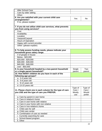| <b>After School Care</b>                                    |               |           |
|-------------------------------------------------------------|---------------|-----------|
| Care by older sibling                                       |               |           |
| Other:                                                      |               |           |
| 6. Are you satisfied with your current child care           | Yes           | <b>No</b> |
| arrangements?                                               |               |           |
| If no, please explain:                                      |               |           |
|                                                             |               |           |
| 7. If you do not utilize child care services, what prevents |               |           |
| you from using services?                                    |               |           |
| Cost                                                        |               |           |
| Availability<br>Location                                    |               |           |
|                                                             |               |           |
| Vanpool/Carpool                                             |               |           |
| <b>Hours of Operation</b>                                   |               |           |
| Happy with current provider                                 |               |           |
| Other: (please explain)                                     |               |           |
| 8. To help assess funding needs, please indicate your       |               |           |
| household gross salary range.                               |               |           |
| # of people in house:                                       |               |           |
| Below - \$20,000                                            |               |           |
| $$20,000 - $29,000$                                         |               |           |
| \$30,000 - \$39,000                                         |               |           |
| \$40,000 - \$49,000                                         |               |           |
| over - \$50,000                                             |               |           |
| 9. Is your household headed by a two-parent household       | Single        | Two       |
| or a single parent household?                               | parent        | parent    |
| 10. How MANY children do you have in each of the            |               |           |
| following age groups?                                       |               |           |
| a. 0-4 years old                                            |               |           |
| b. 5-8 years old                                            |               |           |
| $\overline{c}$ . 9-12 years old                             |               |           |
| d. 13-15 years old                                          |               |           |
|                                                             | Type of       | Type of   |
| 11. Please check one in each column for the type of care    | Care I        | Care I    |
| you USE and the type of care you PREFER.                    | <b>Mostly</b> | Would     |
|                                                             | use           | prefer    |
| a. Care by parent in own home                               |               |           |
| b. Care in relative's home                                  |               |           |
| c. Care in own home with relative                           |               |           |
| d. Care in your home with non-relative                      |               |           |
| e. Care in non-relative's home                              |               |           |
| f. Child care for self                                      |               |           |
| g. Child care center                                        |               |           |
| h. Combination of care as needed                            |               |           |
| i. Currently searching for care                             |               |           |
| School-based program                                        |               |           |
| k. Other                                                    |               |           |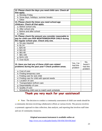| 12. Please check the days you need child care. Check all                                                |                                  |                                       |
|---------------------------------------------------------------------------------------------------------|----------------------------------|---------------------------------------|
| that apply.                                                                                             |                                  |                                       |
| a. Monday-Friday                                                                                        |                                  |                                       |
| b. Snow days, holidays, summer breaks                                                                   |                                  |                                       |
| c. Other                                                                                                |                                  |                                       |
| 13. Please check the times you need school-age                                                          |                                  |                                       |
| childcare. Check all that apply.                                                                        |                                  |                                       |
| a. Before school only                                                                                   |                                  |                                       |
| b. After school only                                                                                    |                                  |                                       |
| c. Before and after school                                                                              |                                  |                                       |
| d. Other                                                                                                |                                  |                                       |
| 14. Please check the amount you consider reasonable to                                                  |                                  |                                       |
| pay for child care PER MONTH/WEEK/PER CHILD during                                                      |                                  |                                       |
| the regular school year. Check only one.                                                                |                                  |                                       |
| a. No pay required                                                                                      |                                  |                                       |
| $b. $1-24$                                                                                              |                                  |                                       |
| c. \$25-40                                                                                              |                                  |                                       |
| d. \$41-60                                                                                              |                                  |                                       |
| e. \$61-80                                                                                              |                                  |                                       |
| $\overline{f}$ . \$81-100                                                                               |                                  |                                       |
| g. \$101-125                                                                                            |                                  |                                       |
| h. Over \$125                                                                                           |                                  |                                       |
| 15. Have you had any of these child care related<br>problems during the past year? Check problem areas. | Yes, I've<br>had this<br>problem | No,<br>haven't<br>had this<br>problem |
| a. Cost of care                                                                                         |                                  |                                       |
| b. Finding temporary care                                                                               |                                  |                                       |
| c. Finding care for sick child                                                                          |                                  |                                       |
| d. Finding care for child with special needs                                                            |                                  |                                       |
| e. Location of care                                                                                     |                                  |                                       |
| f. Transportation to/from care                                                                          |                                  |                                       |
| g. Dependability of care                                                                                |                                  |                                       |
| h. Quality of care                                                                                      |                                  |                                       |
| i. Scheduling child care to match work schedule                                                         |                                  |                                       |

## **Thank you very much for your assistance!!**

 $\hat{\mathbf{x}}$  Note: The decision to conduct a community assessment of child care needs should be a community decision involving collaborative efforts at various levels. The process involves a systematic approach to data collection, data analysis, and reporting that involves staff time and use of community resources.

> *Original assessment instrument is available online at:* <http://www.ext.vt.edu/pubs/family/350-056/350-056.html>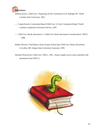

- DeBord, Karen. *Child Care: Organizing At the Community Level.* Raleigh, NC: North Carolina State University, 1991.
- ---. *Comprehensive Community-Based Child Care: Is Your Community Ready?* North Carolina Cooperative Extension Service, 1997.
- ---. *Child Care Needs Assessment 1: Child Care Needs Assessment Considerations.* NNCC, 1998.
- Hobbs, Beverly. *Final Report of the Oregon School-Age Child Care Needs Assessment.*  Corvallis, OR: Oregon State University Extension, 1995.
- *National Network for Child Care.* NNCC, 1991. (Some sample survey items reprinted with permission from NNCC).

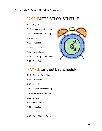**2. Appendix B** – **Sample Afterschool Schedules** 

## SAMPLE AFTER-SCHOOL SCHEDULE

- 3:10 Sign In
- 3:15 Homework / Reading
- 3:45 Transition Meeting
- 4:00 Snack
- 4:10 Transition
- 4:15 Club Time
- 4:45 Free Choice
- 5:15 Clean Up / Cool Down
- 5:30 Sign Out



## SAMPLE Early out Day Schedule

- 1:10 Sign In Free Choice
- 1:45 Transition
- 1:55 Club Time
- 2:30 Homework / Reading
- 3:00 Transition Meeting
- 3:15 Snack
- 3:30 Free Choice
- 4:00 Transition
- $4:10 -$ Club Time
- 4:45 Free Choice Outside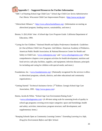# **3. Appendix C** – **Suggested Resources for Further Information**

"ABC's of Starting School-Age Child Care." *School-Age Child Care Series Administrative Fact Sheets.* Wisconsin Child Care Improvement Project. [<http://www.wccip.org>](www.wccip.org)

- "Afterschool Alliance." [<http://www.afterschoolalliance.org>](http://www.afterschoolalliance.org) (Information on starting an afterschool program, funding sources, sustainability, and more.)
- Bruton, S. (Ed.) *Kids' time: A School-Age Care Program Guide.* California Department of Education, 1994.
- "Caring for Our Children." *National Health and Safety Performance Standards: Guidelines for Out-of-Home Child Care Programs:* 2nd Edition. American Academy of Pediatrics, American Public Health Association, & National Resources Center for Health and Safety in Child Care. [<www.redleafpress.org>](www.redleafpress.org) and <[www.schoolagenotes.com>](www.schoolagenotes.com) (Nine comprehensive chapters cover program activities for health development; nutrition and food service; safe play facilities, supplies, and equipment; infection diseases; principals for including and caring for children with special needs; and more.)
- Foundations, Inc. [<www.foundationsinc.org>](www.foundationsinc.org) (Nationally recognized for the services it offers to afterschool programs, schools, districts, and other educational and community organizations.)
- "Getting Started." *Technical Assistance Series:* 2nd Edition. Georgia School-Age Care Association, 1995. [<http://www.gsaca.com>](http://www.gsaca.com)

Harms, Jacobs & White. "School-Age Care Environment Rating Scale." [<www.schoolagenotes.com>](www.schoolagenotes.com) (A 49-item rating scale for assessing levels of quality in school-age programs covering seven major categories: space and furnishings; health and safety; activities; interactions; program structure; staff development; and supplementary items.)

"Keeping Schools Open as Community Learning Centers." *Extending Learning in a Safe, Drug-free Environment Before and After School.*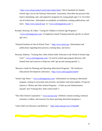[<http://www.ed.gov/pubs/LearnCenters/index.html>](http://www.ed.gov/pubs/LearnCenters/index.html) (NAA Standards for Quality School-Age Care by the National Afterschool Association. Describes the practices that lead to stimulating, safe, and supportive programs for young people ages 5 to 14 in their out-of-school time. Information on standards, accreditation, training, publications, and more. [<http://www.naaweb.org>](http://www.naaweb.org) or [<www.schoolagenotes.com>](www.schoolagenotes.com).)

- Koralek, Newman, & Colker. "Caring for Children in School-Age Programs." <[www.schoolagenotes.com>](www.schoolagenotes.com) (Competency-based Training materials specific to school age care.)
- "National Institute on Out-of-School Time." [<http://www.niost.org>](http://www.niost.org) (Information and publications regarding best practices, training ideas, and more.)
- Newman, Roberta. "Training New After-School Staff: Welcome to the World of School-Age Care!" [<www.schoolagenotes.com>](www.schoolagenotes.com) (A tool for school-age program directors with limited time and resources to help new staff "get up and running quickly.")
- "Resource Guide for Planning and Operating Afterschool Programs." *The Southwest Educational Development Laboratory.* [<http://www.sedl.org/pubs/fam95>](http://www.sedl.org/pubs/fam95)
- "School-Age Notes." <[www.schoolagenotes.com>](www.schoolagenotes.com) (Information on starting an afterschool program, catalog of curriculum and activities, newsletters and email updates. Of special interest is "Before and After School Programs – A Start-up and Administration manual" and "Training New After-school Staff.")
- "The After-School Corporation." [<www.tascorp.org>](www.tascorp.org) (Website contains training, technical assistance, toolkits, and resources for those operating afterschool programs.)

"Utah Child Care Resource and Referral." [<http://jobs.utah.gov/occ/CCRandR>](http://jobs.utah.gov/occ/CCRandR)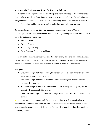### **4. Appendix D – Suggested Items for Program Policies**

 Note that some programs have the parent sign and return one copy of the policy to show that they have read them. Some information you may want to include on the policy is your program name, address, phone number with an answering machine for after-hours contact, hours of operation, holidays, payment policy, and policy on vacation and absences.

### *Guidance (Please review the following guidance procedures with your children.)*

 Our goal is to establish and maintain a behavior management system which will reinforce the following positive behaviors:

- Respect Others
- Respect Property
- Stay with your Group
- Leave Personal Belongings at Home

 If my child's behavior seriously violates the safety of any child or staff, I understand that he/she may be temporarily excluded from the program. In these circumstances, I agree that a parent or authorized adult will pick up my child within 30 minutes of notification.

### *Discipline*

- 1. Should inappropriate behavior occur, the concern will be discussed with the students, and a written warning will be given.
- 2. Should inappropriate behavior continue, a second warning will be given and the parents will be notified.
- 3. Should inappropriate behavior still continue, a third warning will be given, and the student will be suspended for 3 days.
- 4. Continued behavior problems may result in permanent dismissal. (Refunds will not be given.)

 $\star$  Parents may set up a meeting with the program coordinator to discuss individual needs and concerns. We use a consistent, positive approach including redirection, diversion and separation, always promoting self-discipline. Parents will be notified if there is a consistent behavior problem.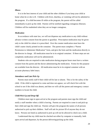### *Illness*

 It is in the best interest of your child and the other children if you keep your child at home when he or she is ill. Children with fever, diarrhea, or vomiting will not be admitted to the program. If a child becomes ill while at the program, the parent will be called immediately to pick up the child. Parents will be notified regarding contagious illnesses. Children will be readmitted when they are no longer contagious.

### *Medication*

 In accordance with state law, we will not dispense any medication to any child without advance written consent from the parent or guardian. Prescription medication may be given only to the child for whom it is prescribed. Over the counter medication must have the child's name clearly printed on the container. The parent must complete a "Parent Permission to Administer Medication" form, and give the form and the medication directly to the director in charge. All medication must be in its original container. If these steps are not completed, medication will not be administered.

 Students who are required to take medication during program hours must have a written consent from the parent and the doctor administering the medication. Forms for this purpose are available from the director. All medication must be in its original container with an accurate pharmacy label intact.

### *Attendance and Late Pick-Up*

 Parents must notify staff if their child will be late or absent. This is for the safety of the child. If the child is registered to come and does not appear, we will check first with the school to see if the child was absent, and then we will call the parent and emergency contact numbers to locate the child.

### *Child Pick-Up and Drop-Off*

 Children must sign in upon arrival at the program and parents must sign the child and notify a staff member when a child is leaving. Parents are required to come in and pick-up their child and sign the child out. Parents will give the program the names of all persons authorized to pick up their children. Staff will ask for picture ID of anyone they do not know. Persons not listed as authorized to pick up will not be allowed to check out a child.

 I understand that my child must be checked out either by computer or manually, both upon arrival and departure, by the person delivering/picking up the child.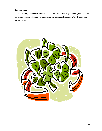### *Transportation*

 Public transportation will be used for activities such as field trips. Before your child can participate in these activities, we must have a signed parental consent. We will notify you of such activities.

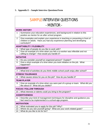| <b>SAMPLE INTERVIEW QUESTIONS</b> |
|-----------------------------------|
| - MENTOR -                        |

|                | <b>WORK HISTORY</b>                                                                                                                                                       |
|----------------|---------------------------------------------------------------------------------------------------------------------------------------------------------------------------|
| $\mathbf 1$    | Summarize your education experiences, and background in relation to this<br>position as mentor for an after school program.                                               |
| $\overline{2}$ | Give examples and explain your experience in teaching or presenting in front of<br>children or adults. Have you had any experience planning and developing<br>curriculum? |
|                | <b>ADAPTABILITY / FLEXIBILITY</b>                                                                                                                                         |
| 3              | What type of people do you like to work with?                                                                                                                             |
| 4              | Give an example of a time when you felt a co-worker was inflexible and not<br>willing to change? How would you handle it?                                                 |
|                | <b>INITIATIVE</b>                                                                                                                                                         |
| 5              | Do you consider yourself an organized person? Explain?                                                                                                                    |
| 6              | Give a short example of a time when you took initiative on the job. What<br>happened?                                                                                     |
|                | <b>JUDGEMENT</b>                                                                                                                                                          |
| 7              | What kind of activities do you think middle school youth enjoy after school?                                                                                              |
|                | <b>STRESS TOLERANCE</b>                                                                                                                                                   |
| 8              | What causes stress for you on the job? How do you handle it?                                                                                                              |
|                | <b>TEAM PLAYER</b>                                                                                                                                                        |
| 9              | Give an example of a time when you were part of a group or team. What did you<br>like about it? What did you dislike?                                                     |
|                | <b>FOCUS / FOLLOW THROUGH</b>                                                                                                                                             |
| 10             | What interests or talents could you bring to the program?                                                                                                                 |
|                | <b>ASSERTIVENESS</b>                                                                                                                                                      |
| 11             | Describe your kind of management techniques for discipline and guidance you<br>feel need to be implemented in a school-age program.                                       |
|                | <b>MOTIVATION</b>                                                                                                                                                         |
| 12             | What motivated you to apply for this job? Why?                                                                                                                            |
| 13             | Where do you see yourself going? What are your work-related goals?                                                                                                        |

14 What do you like to do for fun?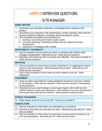|                | <b>SAMPLE INTERVIEW QUESTIONS</b>                                                                                                                                                                                                              |  |  |  |  |
|----------------|------------------------------------------------------------------------------------------------------------------------------------------------------------------------------------------------------------------------------------------------|--|--|--|--|
|                | - SITE MANAGER -                                                                                                                                                                                                                               |  |  |  |  |
|                | <b>WORK HISTORY</b>                                                                                                                                                                                                                            |  |  |  |  |
| 1              | Summarize your education experience, and background in relation to this<br>position.                                                                                                                                                           |  |  |  |  |
| $\overline{2}$ | Summarize your experience with bookkeeping, monthly reporting, data collection,<br>finances related to collection, receipting, and accounting for money.                                                                                       |  |  |  |  |
| 3              | Give examples and explain your experience in:<br>a. teaching / presenting with children and/or adults<br>b. curriculum planning, scheduling activities and any original curriculum<br>development<br>c. experience in managing staff or adults |  |  |  |  |
|                | <b>ADAPTABILITY / FLEXIBILITY</b>                                                                                                                                                                                                              |  |  |  |  |
| 4              | Give an example of a time when you were in a situation with children which<br>changed unexpectedly? What did you do? What was the outcome?                                                                                                     |  |  |  |  |
| 5              | Describe a time when you felt a co-worker was inflexible. How did you handle it?<br>What was the outcome?                                                                                                                                      |  |  |  |  |
|                | <b>INITIATIVE</b>                                                                                                                                                                                                                              |  |  |  |  |
| 6              | Give an example of a time when you took ownership for, or suggested an idea to<br>improve team performance. What obstacles did you face? What did you do?<br>What was the outcome?                                                             |  |  |  |  |
| $\overline{7}$ | Give a short example of a time when you took initiative on the job. What<br>happened?                                                                                                                                                          |  |  |  |  |
|                | <b>JUDGEMENT</b>                                                                                                                                                                                                                               |  |  |  |  |
| 8              | Have you been responsible for making significant decisions on the job in relation<br>to this position? What was the decision? What was the outcome / consequence<br>of your decision?                                                          |  |  |  |  |
| 9              | Describe how you would manage a school age program with 6 staff and 100<br>children based in a gym and classrooms. How would you set up an environment?<br>How would staff work with the children? What activities would you offer?            |  |  |  |  |
|                | <b>STRESS TOLERANCE</b>                                                                                                                                                                                                                        |  |  |  |  |
| 10             | What causes stress for you on the job? How do you handle it?                                                                                                                                                                                   |  |  |  |  |
|                | <b>TEAM PLAYER</b>                                                                                                                                                                                                                             |  |  |  |  |
| 11             | Give an example of a time when you motivated your co-workers.                                                                                                                                                                                  |  |  |  |  |
| 12             | Describe a time when you were part of a team. What did you like about it? What<br>did you dislike?                                                                                                                                             |  |  |  |  |
| 13             | Give an example of a time when you were part of a group and one person or no<br>one was participating. What did you do? What was the result?                                                                                                   |  |  |  |  |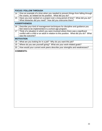|    | <b>FOCUS / FOLLOW THROUGH</b>                                                                                                                                                              |  |  |  |  |
|----|--------------------------------------------------------------------------------------------------------------------------------------------------------------------------------------------|--|--|--|--|
| 14 | Give an example of a time when you needed to prevent things from falling through<br>the cracks, as related tot his position. What did you do?                                              |  |  |  |  |
| 15 | Have you ever worked on a project over a long period of time? What did you do?<br>What obstacles did you meet? How did you overcome them?                                                  |  |  |  |  |
|    | <b>ASSERTIVENESS</b>                                                                                                                                                                       |  |  |  |  |
| 16 | Describe your kind of management techniques for discipline and guidance you<br>feel need to be implemented in a school age program.                                                        |  |  |  |  |
| 17 | Think of a situation in which you were involved where there was a significant<br>conflict with a child or an adult in relation to this position. What did you do? What<br>was the outcome? |  |  |  |  |
|    | <b>MOTIVATION</b>                                                                                                                                                                          |  |  |  |  |
| 18 | What are you looking for in a job? Why do you want this job?                                                                                                                               |  |  |  |  |
| 19 | Where do you see yourself going? What are your work-related goals?                                                                                                                         |  |  |  |  |
| 20 | How would your current work peers describe your strengths and weaknesses?                                                                                                                  |  |  |  |  |
|    |                                                                                                                                                                                            |  |  |  |  |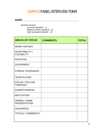# SAMPLE PANEL INTERVIEW FORM

### **NAME:\_\_\_\_\_\_\_\_\_\_\_\_\_\_\_\_\_\_\_\_\_\_\_\_\_\_\_\_\_\_\_\_\_\_\_\_\_\_\_\_\_\_\_**

*RATING SCALE: Low (not standard – 1) Medium (meets standard – 2) High (exceeds standard – 3)*

| <b>AREAS OF FOCUS</b>                      | <b>COMMENTS</b> | <b>TOTAL</b> |
|--------------------------------------------|-----------------|--------------|
| <b>WORK HISTORY</b>                        |                 |              |
| ADAPTABILITY /<br><b>FLEXIBILITY</b>       |                 |              |
| <b>INITIATIVE</b>                          |                 |              |
| <b>JUDGEMENT</b>                           |                 |              |
| <b>STRESS TOLERANCE</b>                    |                 |              |
| <b>TEAM PLAYER</b>                         |                 |              |
| <b>FOCUS / FOLLOW</b><br><b>THROUGH</b>    |                 |              |
| <b>ASSERTIVENESS</b>                       |                 |              |
| <b>MOTIVATION</b>                          |                 |              |
| <b>VERBAL COMM.</b><br><b>PRESENTATION</b> |                 |              |
| <b>SCENARIOS</b>                           |                 |              |
| <b>TOTALS / COMMENTS:</b>                  |                 |              |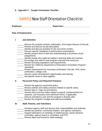**6. Appendix F – Sample Orientation Checklist** 

## SAMPLE New Staff Orientation Checklist

**Employee: \_\_\_\_\_\_\_\_\_\_\_\_\_\_\_\_\_\_\_\_\_\_\_\_\_\_ Supervisor: \_\_\_\_\_\_\_\_\_\_\_\_\_\_\_\_\_\_\_\_\_\_\_** 

**Date of Employment: \_\_\_\_\_\_\_\_\_\_\_\_\_\_\_\_\_\_\_\_\_\_\_\_\_\_\_\_\_\_\_\_\_\_\_\_\_\_\_\_\_\_\_\_\_\_\_\_\_\_\_**

*I. Job Definition* 

- Discuss the program mission, philosophy, and unique features of the job.
- Review and discuss the job description.
- \_\_\_\_\_\_ Identify and discuss priorities for the next three months.
- \_\_\_\_\_\_ Discuss specific standards of performance/ expectations.
- \_\_\_\_\_\_ Identify present level of skill and understanding of all phases of job assignments.
- **\_\_\_\_\_\_** Identify people who might be helpful in learning skills and routines.
- Encourage new staff to read program manuals and resources.
- **EXECUTE:** Review licensing regulations and requirements.
- \_\_\_\_\_\_ Review the California Department of Education's *Exemplary Program Standards*.
- Review requirements for necessary certification: first aid, CPR, driver certification, college units.
- \_\_\_\_\_\_ Discuss career development opportunities and training.
- \_\_\_\_\_\_ Set specific times to meet together.

### *II. Personnel Policy and Required Practices*

- **EXECUTE:** Review the agency's personnel policy.
- **EXECUTE:** Review policies and safety practices related to specific areas.
- **Example 20** Review sign-in / sign-out procedures.
- \_\_\_\_\_\_ Review forms and due dates related to payroll, reimbursement for expense, and insurance and retirement forms, if applicable.
	- **EXEC** Discuss emergency care and the program's disaster plan.
	- Review the program's budget and staff accountability.

### *III. Staff, Parents, and Volunteers*

\_\_\_\_\_\_ Introduce agency staff and discuss their responsibilities and authority.

- \_\_\_\_\_\_ Identify key parents, community leaders, and agency volunteers.
- Support attendance at meetings of related groups: parent advisory
	- committee, agency board or committee, and PTA.
- **EXECUTE:** Review dates and format for staff meetings.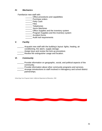### *IV. Mechanics*

Familiarize new staff with:

- **\_\_\_\_\_\_** Office procedures and capabilities
- \_\_\_\_\_\_ Purchase orders
- **\_\_\_\_\_\_\_** Petty Cash
- \_\_\_\_\_\_ Files
- \_\_\_\_\_\_ Telephones
- \_\_\_\_\_\_ Xerox Machines
- **Example Supplies and the inventory system**
- **EXECUTE:** Program Supplies and the inventory system
- \_\_\_\_\_\_ Accident forms
- **Example 21** Audit trail requirements

### *V. Facility*

- \_\_\_\_\_\_ Acquaint new staff with the building's layout: lights, heating, air conditioning, fire alarm, supply storage.
	- \_\_\_\_\_\_ Assign keys and review the lock-up procedure.
- Review fire extinguisher usage and location.

### *VI. Community*

- **Frovide information on geographic, social, and political aspects of the** community.
- \_\_\_\_\_\_ Provide information about other community programs and services.
- Arrange introductions to staff involved in interagency and school district partnerships.

*School-Age Care Program Guide, California Department of Education, 1994*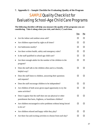**7. Appendix G – Sample Checklist for Evaluating Quality of the Program** 

# SAMPLE Quality Checklist for Evaluating School-Age Child Care Programs

**The following checklist will help you measure the quality of the programs you are**  considering. Take it along when you visit, and check  $(\checkmark)$  each item.

|                                                                                                                           | Yes | $\underline{\mathbf{No}}$ |
|---------------------------------------------------------------------------------------------------------------------------|-----|---------------------------|
| Are the indoor and outdoor areas safe?                                                                                    | ◻   | ◻                         |
| Are children supervised by sight at all times?                                                                            | п   | п                         |
| Are bathrooms nearby?                                                                                                     | ◻   | ◻                         |
| Are there written health, safety and emergency rules?                                                                     | П   | П                         |
| Is the staff qualified in school-age child care?                                                                          | П   | п                         |
| Are there enough adults for the number of the children in the<br>program?                                                 | п   | п                         |
| Does the staff talk to the children often and in a friendly,<br>helpful way?                                              | п   | ΙI                        |
| Does the staff listen to children, answering their questions<br>and requests?                                             | п   | п                         |
| Does the staff encourage children to be independent?                                                                      | п   | П                         |
| Are children of both sexes given equal opportunity to try the<br>same activities?                                         | п   | П                         |
| Does it appear that the staff does not use physical or other<br>punishment that hurts, frightens, or humiliates children? | п   | П                         |
| Are children encouraged to solve problems without being forced<br>to do so?                                               | п   | п                         |
| Are children relaxed and happy while they play?                                                                           | П   | п                         |
| Are there fun and exciting activities to choose from each day?                                                            | П   | П                         |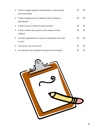|           | • Is there enough equipment and materials to make the play<br>areas interesting? |     |  |
|-----------|----------------------------------------------------------------------------------|-----|--|
| $\bullet$ | Is there enough space for children to play in groups or<br>individually?         |     |  |
| $\bullet$ | Is there an area set aside for quiet activities?                                 |     |  |
| $\bullet$ | Is there evidence that parents receive reports on their<br>children?             | LΙ  |  |
| $\bullet$ | Are there opportunities for parents to participate from time<br>to time?         |     |  |
| $\bullet$ | Can parents visit at any time?                                                   | l l |  |
| $\bullet$ | Are questions and comments from parents encouraged?                              |     |  |

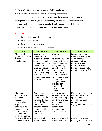### **8. Appendix H – Ages and Stages of Child Development**

### *Developmental Characteristics and Programming Implications*

 Each individual matures at his/her own pace, and the transition from one state of development to the next is gradual. Understanding characteristics and needs at different developmental stages is important in planning learning opportunities. This promotes progressive acquisition of subject matter information and life skills.

### Basic needs:

- To experience a positive self-concept
- To experience success
- To become increasingly independent
- To develop and accept ones own identity

| $K-2$                                                                                                                                                                                                  | Grades 3-5                                                                                                                                                                                                                          | Grades 6-8                                                                                                                                                                                                                                                                                                         | Grades 9-12                                                                                                                                                                                  |
|--------------------------------------------------------------------------------------------------------------------------------------------------------------------------------------------------------|-------------------------------------------------------------------------------------------------------------------------------------------------------------------------------------------------------------------------------------|--------------------------------------------------------------------------------------------------------------------------------------------------------------------------------------------------------------------------------------------------------------------------------------------------------------------|----------------------------------------------------------------------------------------------------------------------------------------------------------------------------------------------|
| Slow steady<br>growth with limited<br>muscle<br>development.                                                                                                                                           | Slow steady<br>growth for most.<br>Puberty starts for<br>some girls usually<br>accompanied by a<br>growth spurt.<br>Extremely active,<br>may overdo, need<br>10-11 hours sleep.<br>Be sensitive of<br>concern over body<br>changes. | Wide range in<br>physical<br>development, early<br>maturing girls may<br>have appearance of<br>young women,<br>some boys will not<br>have entered<br>puberty. Growth<br>spurts may cause<br>clumsiness. Much<br>concern about<br>changing bodies.<br>Interested in<br>grooming, but<br>probably won't<br>admit it. | Body changes have<br>been accepted by most,<br>some continue to<br>struggle. Individual<br>talents & abilities<br>emerge. Be sensitive to<br>late developers, help<br>them feel they are OK. |
| Plan activities<br>which require<br>limited small<br>muscle<br>coordination.<br><b>Expect craft</b><br>projects to be<br>messy. It is the<br>doing, not the<br>finished product<br>which is important. | Plan action,<br>hands-on doing.<br>Field trips & tours<br>are good if stops<br>are brief. Plan for<br>needed rest.<br>Better at making<br>things, but still<br>don't expect<br>perfection.                                          | Include learning<br>experiences related<br>to understanding<br>self & the changes<br>taking place.<br>Provide<br>opportunities for<br>acquiring good<br>grooming habits.                                                                                                                                           | Provide opportunities to<br>help recognize their<br>special talents &<br>abilities. Individual<br>counsel is good-<br>highlight talents & skills.                                            |
| Concrete thinkers-<br>deal with here &                                                                                                                                                                 | Many are still<br>concrete thinkers,                                                                                                                                                                                                | Most have moved<br>from concrete to                                                                                                                                                                                                                                                                                | <b>Mastering abstract</b><br>thinking. Can interact on                                                                                                                                       |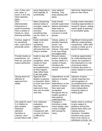| now. If they can't<br>see, taste, or<br>touch, it isn't real.<br><b>Short attention</b><br>span.                                             | some beginning to<br>think logically, &<br>symbolically.                                                                                                            | more abstract<br>thinking. They<br>enjoy playing with<br>ideas.                                                                                                                                               | adult level. Beginning to<br>plan for their future.                                                                                                                                                              |
|----------------------------------------------------------------------------------------------------------------------------------------------|---------------------------------------------------------------------------------------------------------------------------------------------------------------------|---------------------------------------------------------------------------------------------------------------------------------------------------------------------------------------------------------------|------------------------------------------------------------------------------------------------------------------------------------------------------------------------------------------------------------------|
| Give<br>(demonstrate)<br>instructions in<br>small increments.<br>Plan a variety of<br>hands-on, short,<br>learning activities.               | When introducing<br>abstract ideas or<br>concepts, relate to<br>something<br>concrete,<br>something they<br>can do, touch, or<br>feel.                              | <b>Adult should</b><br>provide supervision<br>without domination.<br>Allow them to<br>discuss ideas &<br>concerns in small<br>groups.                                                                         | Include career education<br>including opportunities to<br>research careers, setting<br>career goals & planning<br>to accomplish goals.                                                                           |
| Curious, eager to<br>try something<br>new. Learn best if<br>physically active.                                                               | Easily motivated,<br>eager to try<br>something<br>different. Interest<br>will jump from one<br>thing to another.                                                    | Values, justice, &<br>equality important<br>issues-can<br>become very<br>intense. They want<br>to be sure things<br>are judged fairly.                                                                        | Significant moral growth,<br>difficulty understanding<br>compromise. Often think<br>society is made up of a<br>bunch of hypocrites.                                                                              |
| Provide hands-on<br>experiences. Let<br>them do, just don't<br>expect perfection.                                                            | Guide to stay with<br>tasks to<br>completion. Work<br>closely to have<br>them record<br>accomplishments<br>as they happen.<br>Help reflect back<br>& set new goals. | Discuss values,<br>justice, & equality<br>as they relate to a<br>variety of issues.<br>Introduce the<br>concept of personal<br>values.                                                                        | Continue opportunities<br>for understanding how<br>values are acquired &<br>the importance of a set<br>of personal values.<br>Promote discussion &<br>action related to current<br>issues.                       |
| Strong desire for<br>affection &<br>approval from<br>adults.                                                                                 | Approval from<br>leaders & parents<br>is important. Want<br>to know how much<br>they have<br>improved & how<br>they can do better<br>next time.                     | Dependence on the<br>opinions of adults<br>shifts to<br>dependence on the<br>opinions of peers.<br>Now seek peer<br>recognition.<br>Recognize this as<br>healthy growth &<br>help parents<br>understand this. | Opinions of peers<br>remain important but<br>self-recognition of<br>accomplishments is also<br>important. Becoming<br>more independent,<br>acquiring values &<br>setting goals.                                  |
| One adult for each<br>3-4 children to<br>give needed<br>individual<br>attention.<br>Sensitive to<br>criticism, don't<br>accept failure well. | Give individual<br>evaluation,<br>suggest ways to<br>improve.<br>Comparison with<br>success of others<br>is difficult for<br>them.                                  | Changes in<br>hormones create<br>mood swings, also<br>a time of fragile<br>self-concept for<br>many.                                                                                                          | Adults need to continue<br>to give support &<br>guidance during this<br>period when teens are<br>making serious<br>decisions. Unsettled<br>emotions may cause<br>them to be stormy or<br>withdrawn at times, but |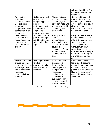|                                                                                                                                                        |                                                                                                                                               |                                                                                                                                                                                                 | will usually pride self on<br>increased ability to be<br>responsible.                                                                                                                                                                                                            |
|--------------------------------------------------------------------------------------------------------------------------------------------------------|-----------------------------------------------------------------------------------------------------------------------------------------------|-------------------------------------------------------------------------------------------------------------------------------------------------------------------------------------------------|----------------------------------------------------------------------------------------------------------------------------------------------------------------------------------------------------------------------------------------------------------------------------------|
| Emphasize<br>individual<br>accomplishments.<br>Use activities<br>involving<br>cooperation: avoid<br>competition even<br>in games.                      | Build positive self-<br>concept by<br>comparing past &<br>present<br>performances of<br>the individual & to<br>emphasize<br>positive changes. | Plan self-discovery<br>activities. Support,<br>encourage, but<br>don't dominate. Still<br>important to avoid<br>comparing with<br>other teens.                                                  | <b>Consistent treatment</b><br>from adults is important<br>even though some will<br>act like adults one day &<br>children the next.<br>Provide opportunities to<br>use special talents.                                                                                          |
| Learning how to<br>be a friend & to<br>make friends. May<br>have several<br>"best" friends at<br>one time.                                             | Joining a "club" is<br>popular, stronger<br>identity with peers.<br>Admire older boys<br>& girls.                                             | Moving toward<br>more<br>independence.<br>Want to plan own<br>activities & explore<br>beyond a<br>community. Better<br>at planning than<br>carrying out the<br>plan.                            | Many can plan & interact<br>on the adult level. Can<br>initiate & carry out tasks<br>such as researching<br>area of special interest<br>without much adult<br>supervision. Achieving<br>independence, identity &<br>definition of career goals<br>are important for this<br>age. |
| Allow to form own<br>groups for some<br>activities, others to<br>encourage total<br>group interaction.<br>Introduce<br>characteristics of<br>a friend. | Plan opportunities<br>for club<br>enrollment. Utilize<br>teen teachers &<br>mentors.                                                          | Involve youth in<br>planning. Help<br>them develop<br>realistic plans &<br>then provide<br>necessary<br>guidance for<br>completion &<br>evaluation. Plan<br>activities beyond<br>the community. | Become an advisor, let<br>teens plan & assume<br>responsibility for carrying<br>out plans. Time is<br>precious, if programs are<br>filled with "busy work"<br>teens will lose patience<br>& interest.                                                                            |

*Original chart may be accessed at<www.Utah4-H.org>*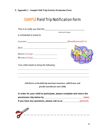**9. Appendix I – Sample Field Trip/Activity Permission Form** 

# SAMPLE Field Trip Notification Form

| Your child needs to bring the following: |                     |
|------------------------------------------|---------------------|
| RETURN AT (TIME): 2008                   |                     |
| DEFARTAT(TIME):                          |                     |
|                                          |                     |
|                                          |                     |
| is scheduled to travel to:               | Afterschool Program |

**In order for your child to participate, please complete and return the permission slip below by \_\_\_\_\_\_\_\_\_\_\_\_\_\_\_\_\_\_\_\_\_\_\_\_\_\_\_\_\_\_\_\_** (date).  **If you have any questions, please call us at \_\_\_\_\_\_\_\_\_\_\_\_\_\_**(phone#).

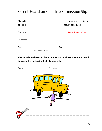# Parent/Guardian Field Trip Permission Slip

|                    | stanger has my permission to |
|--------------------|------------------------------|
|                    |                              |
|                    |                              |
|                    |                              |
|                    |                              |
|                    |                              |
|                    |                              |
|                    |                              |
| Parent or Guardian |                              |

## **Please indicate below a phone number and address where you could be contacted during the Field Trip/activity:**

PHONE: \_\_\_\_\_\_\_\_\_\_\_\_\_\_\_\_\_\_\_\_\_ ADDRESS: \_\_\_\_\_\_\_\_\_\_\_\_\_\_\_\_\_\_\_\_\_\_\_\_\_\_\_\_\_\_

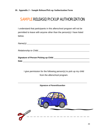# SAMPLE RELEASE/PICKUP AUTHORIZATION

I understand that participants in this afterschool program will not be permitted to leave with anyone other than the person(s) I have listed below.

| $\lambda = \lambda + \lambda$<br>^<br>$\cdots$ |  |  |  |
|------------------------------------------------|--|--|--|
|------------------------------------------------|--|--|--|

 *Relationship to Child:*\_\_\_\_\_\_\_\_\_\_\_\_\_\_\_\_\_\_\_\_\_\_\_\_\_\_\_\_\_\_\_\_\_\_\_\_\_\_\_\_\_\_\_\_\_\_\_\_\_\_\_

| <b>Signature of Person Picking up Child</b> |  |
|---------------------------------------------|--|
| <b>Date</b>                                 |  |

I give permission for the following person(s) to pick up my child from the afterschool program.

\_\_\_\_\_\_\_\_\_\_\_\_\_\_\_\_\_\_\_\_\_\_\_\_\_\_\_\_\_\_\_\_\_\_\_\_\_\_\_\_\_\_\_\_\_\_\_\_\_\_\_\_\_\_\_\_\_\_\_\_\_\_\_\_\_\_\_\_\_ *Signature of Parent/Guardian*